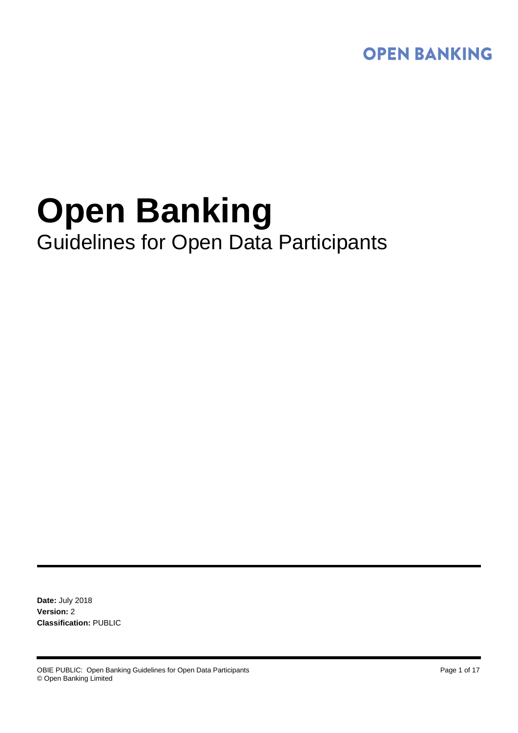

# **Open Banking** Guidelines for Open Data Participants

**Date:** July 2018 **Version:** 2 **Classification:** PUBLIC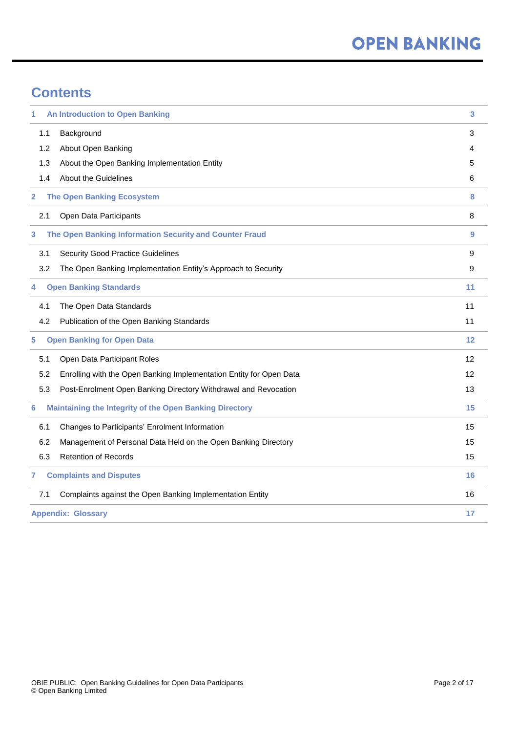# **Contents**

| 1                                      | <b>An Introduction to Open Banking</b>                              | 3  |
|----------------------------------------|---------------------------------------------------------------------|----|
| 1.1                                    | Background                                                          | 3  |
| 1.2                                    | About Open Banking                                                  | 4  |
| 1.3                                    | About the Open Banking Implementation Entity                        | 5  |
| 1.4                                    | <b>About the Guidelines</b>                                         | 6  |
| 2                                      | <b>The Open Banking Ecosystem</b>                                   | 8  |
| 2.1                                    | Open Data Participants                                              | 8  |
| 3                                      | The Open Banking Information Security and Counter Fraud             | 9  |
| 3.1                                    | <b>Security Good Practice Guidelines</b>                            | 9  |
| 3.2                                    | The Open Banking Implementation Entity's Approach to Security       | 9  |
| <b>Open Banking Standards</b><br>4     |                                                                     | 11 |
| 4.1                                    | The Open Data Standards                                             | 11 |
| 4.2                                    | Publication of the Open Banking Standards                           | 11 |
| <b>Open Banking for Open Data</b><br>5 |                                                                     | 12 |
| 5.1                                    | Open Data Participant Roles                                         | 12 |
| 5.2                                    | Enrolling with the Open Banking Implementation Entity for Open Data | 12 |
| 5.3                                    | Post-Enrolment Open Banking Directory Withdrawal and Revocation     | 13 |
| 6                                      | <b>Maintaining the Integrity of the Open Banking Directory</b>      | 15 |
| 6.1                                    | Changes to Participants' Enrolment Information                      | 15 |
| 6.2                                    | Management of Personal Data Held on the Open Banking Directory      | 15 |
| 6.3                                    | <b>Retention of Records</b>                                         | 15 |
| 7                                      | <b>Complaints and Disputes</b>                                      | 16 |
| 7.1                                    | Complaints against the Open Banking Implementation Entity           | 16 |
| <b>Appendix: Glossary</b>              |                                                                     | 17 |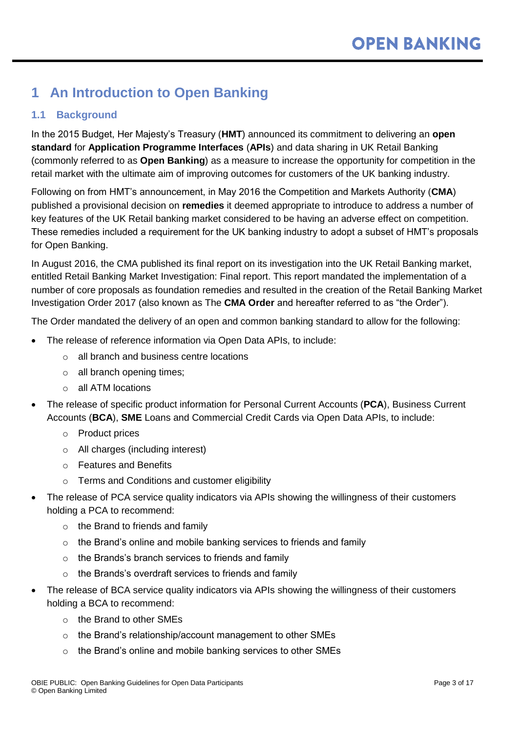# <span id="page-2-0"></span>**1 An Introduction to Open Banking**

## <span id="page-2-1"></span>**1.1 Background**

In the 2015 Budget, Her Majesty's Treasury (**HMT**) announced its commitment to delivering an **open standard** for **Application Programme Interfaces** (**APIs**) and data sharing in UK Retail Banking (commonly referred to as **Open Banking**) as a measure to increase the opportunity for competition in the retail market with the ultimate aim of improving outcomes for customers of the UK banking industry.

Following on from HMT's announcement, in May 2016 the Competition and Markets Authority (**CMA**) published a provisional decision on **remedies** it deemed appropriate to introduce to address a number of key features of the UK Retail banking market considered to be having an adverse effect on competition. These remedies included a requirement for the UK banking industry to adopt a subset of HMT's proposals for Open Banking.

In August 2016, the CMA published its final report on its investigation into the UK Retail Banking market, entitled Retail Banking Market Investigation: Final report. This report mandated the implementation of a number of core proposals as foundation remedies and resulted in the creation of the Retail Banking Market Investigation Order 2017 (also known as The **CMA Order** and hereafter referred to as "the Order").

The Order mandated the delivery of an open and common banking standard to allow for the following:

- The release of reference information via Open Data APIs, to include:
	- o all branch and business centre locations
	- o all branch opening times;
	- o all ATM locations
- The release of specific product information for Personal Current Accounts (**PCA**), Business Current Accounts (**BCA**), **SME** Loans and Commercial Credit Cards via Open Data APIs, to include:
	- o Product prices
	- o All charges (including interest)
	- o Features and Benefits
	- o Terms and Conditions and customer eligibility
- The release of PCA service quality indicators via APIs showing the willingness of their customers holding a PCA to recommend:
	- $\circ$  the Brand to friends and family
	- $\circ$  the Brand's online and mobile banking services to friends and family
	- o the Brands's branch services to friends and family
	- $\circ$  the Brands's overdraft services to friends and family
- The release of BCA service quality indicators via APIs showing the willingness of their customers holding a BCA to recommend:
	- o the Brand to other SMEs
	- o the Brand's relationship/account management to other SMEs
	- o the Brand's online and mobile banking services to other SMEs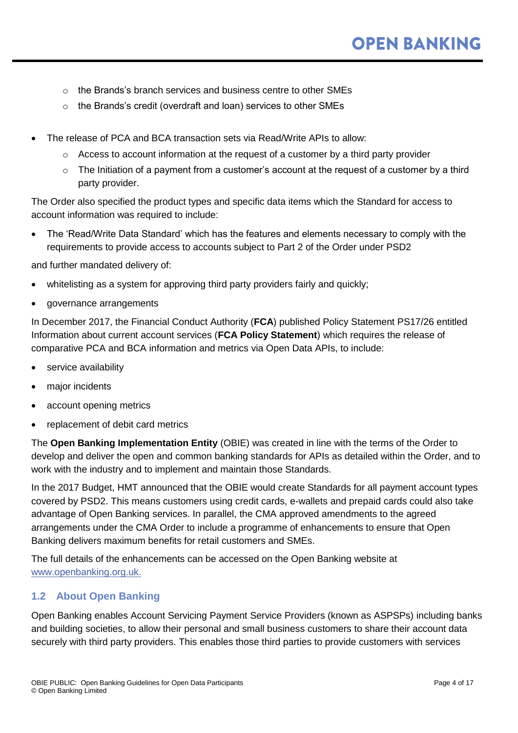- o the Brands's branch services and business centre to other SMEs
- o the Brands's credit (overdraft and loan) services to other SMEs
- The release of PCA and BCA transaction sets via Read/Write APIs to allow:
	- $\circ$  Access to account information at the request of a customer by a third party provider
	- $\circ$  The Initiation of a payment from a customer's account at the request of a customer by a third party provider.

The Order also specified the product types and specific data items which the Standard for access to account information was required to include:

 The 'Read/Write Data Standard' which has the features and elements necessary to comply with the requirements to provide access to accounts subject to Part 2 of the Order under PSD2

and further mandated delivery of:

- whitelisting as a system for approving third party providers fairly and quickly;
- governance arrangements

In December 2017, the Financial Conduct Authority (**FCA**) published Policy Statement PS17/26 entitled Information about current account services (**FCA Policy Statement**) which requires the release of comparative PCA and BCA information and metrics via Open Data APIs, to include:

- service availability
- major incidents
- account opening metrics
- replacement of debit card metrics

The **Open Banking Implementation Entity** (OBIE) was created in line with the terms of the Order to develop and deliver the open and common banking standards for APIs as detailed within the Order, and to work with the industry and to implement and maintain those Standards.

In the 2017 Budget, HMT announced that the OBIE would create Standards for all payment account types covered by PSD2. This means customers using credit cards, e-wallets and prepaid cards could also take advantage of Open Banking services. In parallel, the CMA approved amendments to the agreed arrangements under the CMA Order to include a programme of enhancements to ensure that Open Banking delivers maximum benefits for retail customers and SMEs.

The full details of the enhancements can be accessed on the Open Banking website at [www.openbanking.org.uk.](http://www.openbanking.org.uk/)

#### <span id="page-3-0"></span>**1.2 About Open Banking**

Open Banking enables Account Servicing Payment Service Providers (known as ASPSPs) including banks and building societies, to allow their personal and small business customers to share their account data securely with third party providers. This enables those third parties to provide customers with services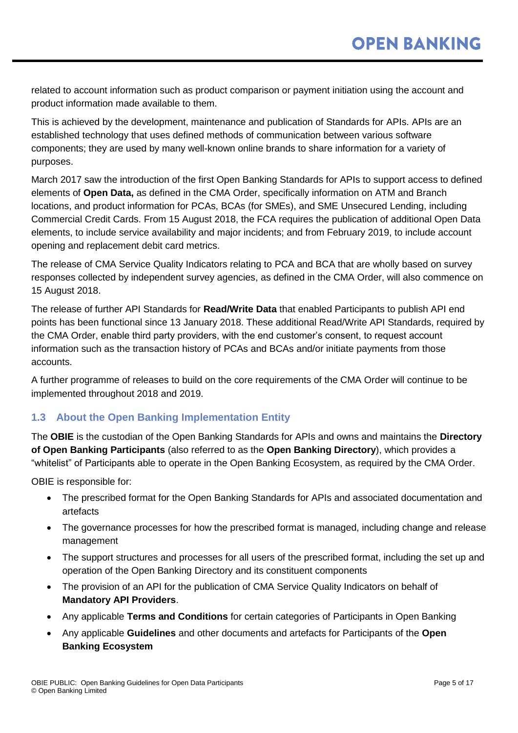related to account information such as product comparison or payment initiation using the account and product information made available to them.

This is achieved by the development, maintenance and publication of Standards for APIs. APIs are an established technology that uses defined methods of communication between various software components; they are used by many well-known online brands to share information for a variety of purposes.

March 2017 saw the introduction of the first Open Banking Standards for APIs to support access to defined elements of **Open Data,** as defined in the CMA Order, specifically information on ATM and Branch locations, and product information for PCAs, BCAs (for SMEs), and SME Unsecured Lending, including Commercial Credit Cards. From 15 August 2018, the FCA requires the publication of additional Open Data elements, to include service availability and major incidents; and from February 2019, to include account opening and replacement debit card metrics.

The release of CMA Service Quality Indicators relating to PCA and BCA that are wholly based on survey responses collected by independent survey agencies, as defined in the CMA Order, will also commence on 15 August 2018.

The release of further API Standards for **Read/Write Data** that enabled Participants to publish API end points has been functional since 13 January 2018. These additional Read/Write API Standards, required by the CMA Order, enable third party providers, with the end customer's consent, to request account information such as the transaction history of PCAs and BCAs and/or initiate payments from those accounts.

A further programme of releases to build on the core requirements of the CMA Order will continue to be implemented throughout 2018 and 2019.

### <span id="page-4-0"></span>**1.3 About the Open Banking Implementation Entity**

The **OBIE** is the custodian of the Open Banking Standards for APIs and owns and maintains the **Directory of Open Banking Participants** (also referred to as the **Open Banking Directory**), which provides a "whitelist" of Participants able to operate in the Open Banking Ecosystem, as required by the CMA Order.

OBIE is responsible for:

- The prescribed format for the Open Banking Standards for APIs and associated documentation and artefacts
- The governance processes for how the prescribed format is managed, including change and release management
- The support structures and processes for all users of the prescribed format, including the set up and operation of the Open Banking Directory and its constituent components
- The provision of an API for the publication of CMA Service Quality Indicators on behalf of **Mandatory API Providers**.
- Any applicable **Terms and Conditions** for certain categories of Participants in Open Banking
- Any applicable **Guidelines** and other documents and artefacts for Participants of the **Open Banking Ecosystem**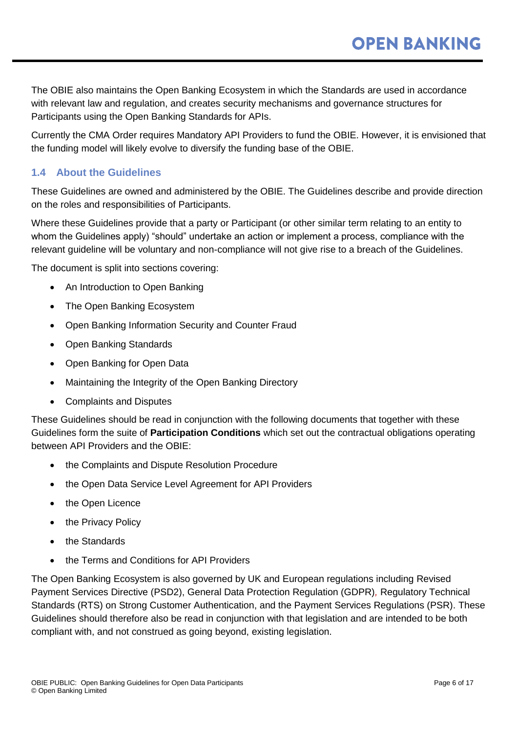The OBIE also maintains the Open Banking Ecosystem in which the Standards are used in accordance with relevant law and regulation, and creates security mechanisms and governance structures for Participants using the Open Banking Standards for APIs.

Currently the CMA Order requires Mandatory API Providers to fund the OBIE. However, it is envisioned that the funding model will likely evolve to diversify the funding base of the OBIE.

### <span id="page-5-0"></span>**1.4 About the Guidelines**

These Guidelines are owned and administered by the OBIE. The Guidelines describe and provide direction on the roles and responsibilities of Participants.

Where these Guidelines provide that a party or Participant (or other similar term relating to an entity to whom the Guidelines apply) "should" undertake an action or implement a process, compliance with the relevant guideline will be voluntary and non-compliance will not give rise to a breach of the Guidelines.

The document is split into sections covering:

- An Introduction to Open Banking
- The Open Banking Ecosystem
- Open Banking Information Security and Counter Fraud
- Open Banking Standards
- Open Banking for Open Data
- Maintaining the Integrity of the Open Banking Directory
- Complaints and Disputes

These Guidelines should be read in conjunction with the following documents that together with these Guidelines form the suite of **Participation Conditions** which set out the contractual obligations operating between API Providers and the OBIE:

- the Complaints and Dispute Resolution Procedure
- the Open Data Service Level Agreement for API Providers
- the Open Licence
- the Privacy Policy
- the Standards
- the Terms and Conditions for API Providers

The Open Banking Ecosystem is also governed by UK and European regulations including Revised Payment Services Directive (PSD2), General Data Protection Regulation (GDPR)*,* Regulatory Technical Standards (RTS) on Strong Customer Authentication, and the Payment Services Regulations (PSR). These Guidelines should therefore also be read in conjunction with that legislation and are intended to be both compliant with, and not construed as going beyond, existing legislation.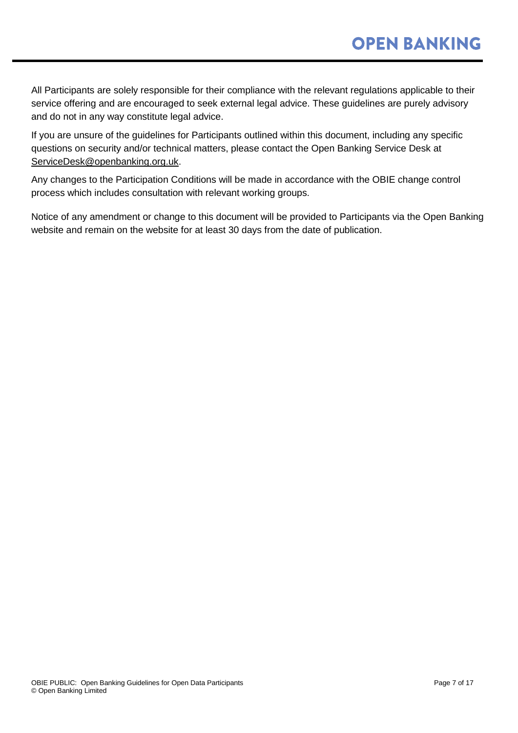All Participants are solely responsible for their compliance with the relevant regulations applicable to their service offering and are encouraged to seek external legal advice. These guidelines are purely advisory and do not in any way constitute legal advice.

If you are unsure of the guidelines for Participants outlined within this document, including any specific questions on security and/or technical matters, please contact the Open Banking Service Desk at [ServiceDesk@openbanking.org.uk.](mailto:ServiceDesk@openbanking.org.uk)

Any changes to the Participation Conditions will be made in accordance with the OBIE change control process which includes consultation with relevant working groups.

Notice of any amendment or change to this document will be provided to Participants via the Open Banking website and remain on the website for at least 30 days from the date of publication.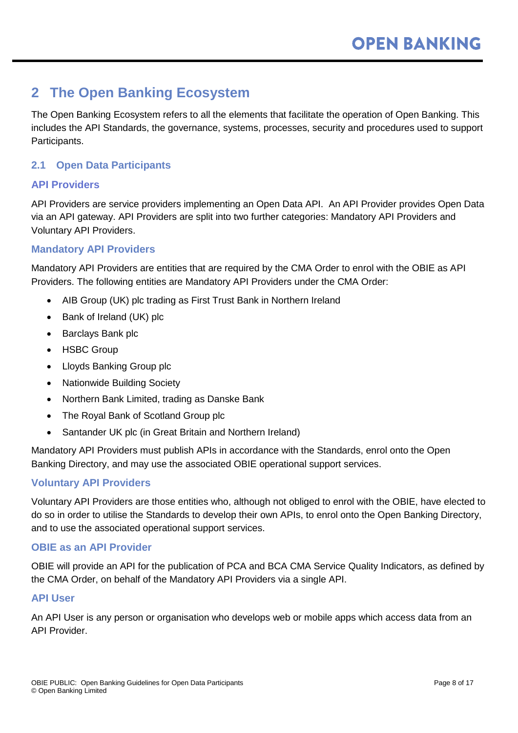# <span id="page-7-0"></span>**2 The Open Banking Ecosystem**

The Open Banking Ecosystem refers to all the elements that facilitate the operation of Open Banking. This includes the API Standards, the governance, systems, processes, security and procedures used to support Participants.

#### <span id="page-7-1"></span>**2.1 Open Data Participants**

#### **API Providers**

API Providers are service providers implementing an Open Data API. An API Provider provides Open Data via an API gateway. API Providers are split into two further categories: Mandatory API Providers and Voluntary API Providers.

#### **Mandatory API Providers**

Mandatory API Providers are entities that are required by the CMA Order to enrol with the OBIE as API Providers. The following entities are Mandatory API Providers under the CMA Order:

- AIB Group (UK) plc trading as First Trust Bank in Northern Ireland
- Bank of Ireland (UK) plc
- Barclays Bank plc
- HSBC Group
- Lloyds Banking Group plc
- Nationwide Building Society
- Northern Bank Limited, trading as Danske Bank
- The Royal Bank of Scotland Group plc
- Santander UK plc (in Great Britain and Northern Ireland)

Mandatory API Providers must publish APIs in accordance with the Standards, enrol onto the Open Banking Directory, and may use the associated OBIE operational support services.

#### **Voluntary API Providers**

Voluntary API Providers are those entities who, although not obliged to enrol with the OBIE, have elected to do so in order to utilise the Standards to develop their own APIs, to enrol onto the Open Banking Directory, and to use the associated operational support services.

#### **OBIE as an API Provider**

OBIE will provide an API for the publication of PCA and BCA CMA Service Quality Indicators, as defined by the CMA Order, on behalf of the Mandatory API Providers via a single API.

#### **API User**

An API User is any person or organisation who develops web or mobile apps which access data from an API Provider.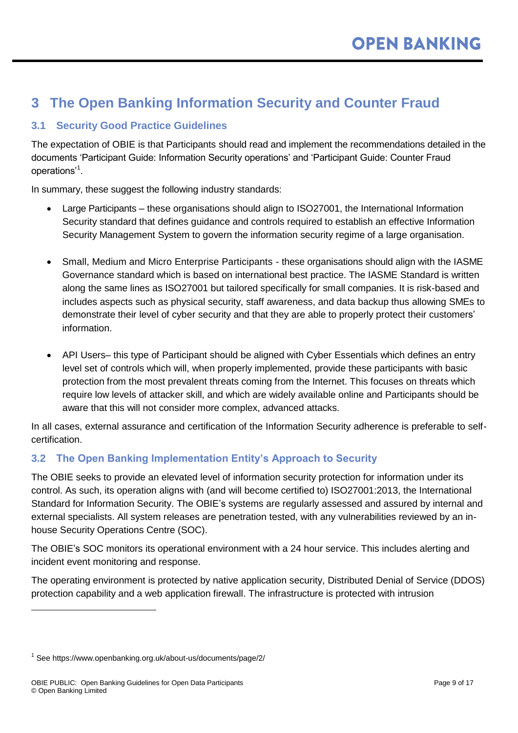# <span id="page-8-0"></span>**3 The Open Banking Information Security and Counter Fraud**

### <span id="page-8-1"></span>**3.1 Security Good Practice Guidelines**

The expectation of OBIE is that Participants should read and implement the recommendations detailed in the documents 'Participant Guide: Information Security operations' and 'Participant Guide: Counter Fraud operations'<sup>1</sup> .

In summary, these suggest the following industry standards:

- Large Participants these organisations should align to ISO27001, the International Information Security standard that defines guidance and controls required to establish an effective Information Security Management System to govern the information security regime of a large organisation.
- Small, Medium and Micro Enterprise Participants these organisations should align with the IASME Governance standard which is based on international best practice. The IASME Standard is written along the same lines as ISO27001 but tailored specifically for small companies. It is risk-based and includes aspects such as physical security, staff awareness, and data backup thus allowing SMEs to demonstrate their level of cyber security and that they are able to properly protect their customers' information.
- API Users– this type of Participant should be aligned with Cyber Essentials which defines an entry level set of controls which will, when properly implemented, provide these participants with basic protection from the most prevalent threats coming from the Internet. This focuses on threats which require low levels of attacker skill, and which are widely available online and Participants should be aware that this will not consider more complex, advanced attacks.

In all cases, external assurance and certification of the Information Security adherence is preferable to selfcertification.

### <span id="page-8-2"></span>**3.2 The Open Banking Implementation Entity's Approach to Security**

The OBIE seeks to provide an elevated level of information security protection for information under its control. As such, its operation aligns with (and will become certified to) ISO27001:2013, the International Standard for Information Security. The OBIE's systems are regularly assessed and assured by internal and external specialists. All system releases are penetration tested, with any vulnerabilities reviewed by an inhouse Security Operations Centre (SOC).

The OBIE's SOC monitors its operational environment with a 24 hour service. This includes alerting and incident event monitoring and response.

The operating environment is protected by native application security, Distributed Denial of Service (DDOS) protection capability and a web application firewall. The infrastructure is protected with intrusion

 $\overline{a}$ 

<sup>1</sup> See https://www.openbanking.org.uk/about-us/documents/page/2/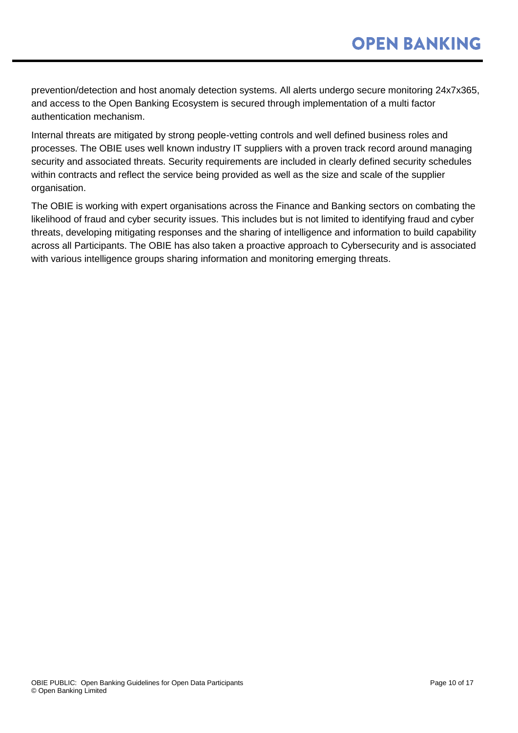prevention/detection and host anomaly detection systems. All alerts undergo secure monitoring 24x7x365, and access to the Open Banking Ecosystem is secured through implementation of a multi factor authentication mechanism.

Internal threats are mitigated by strong people-vetting controls and well defined business roles and processes. The OBIE uses well known industry IT suppliers with a proven track record around managing security and associated threats. Security requirements are included in clearly defined security schedules within contracts and reflect the service being provided as well as the size and scale of the supplier organisation.

The OBIE is working with expert organisations across the Finance and Banking sectors on combating the likelihood of fraud and cyber security issues. This includes but is not limited to identifying fraud and cyber threats, developing mitigating responses and the sharing of intelligence and information to build capability across all Participants. The OBIE has also taken a proactive approach to Cybersecurity and is associated with various intelligence groups sharing information and monitoring emerging threats.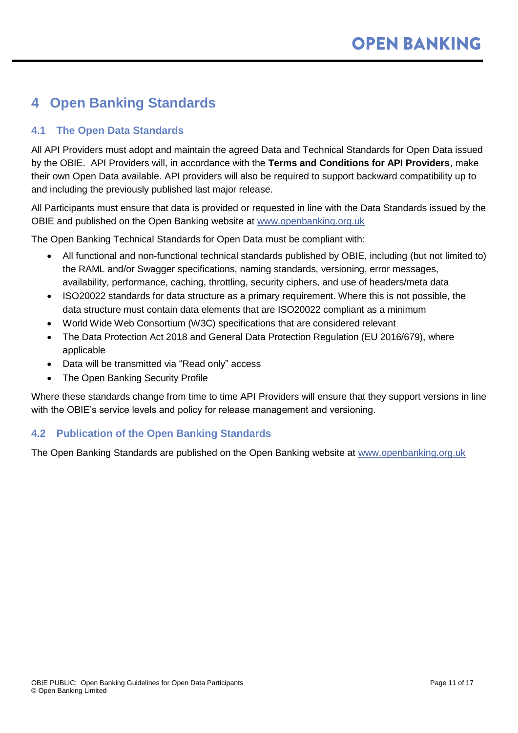# <span id="page-10-0"></span>**4 Open Banking Standards**

### <span id="page-10-1"></span>**4.1 The Open Data Standards**

All API Providers must adopt and maintain the agreed Data and Technical Standards for Open Data issued by the OBIE. API Providers will, in accordance with the **Terms and Conditions for API Providers**, make their own Open Data available. API providers will also be required to support backward compatibility up to and including the previously published last major release.

All Participants must ensure that data is provided or requested in line with the Data Standards issued by the OBIE and published on the Open Banking website at [www.openbanking.org.uk](http://www.openbanking.org.uk/)

The Open Banking Technical Standards for Open Data must be compliant with:

- All functional and non-functional technical standards published by OBIE, including (but not limited to) the RAML and/or Swagger specifications, naming standards, versioning, error messages, availability, performance, caching, throttling, security ciphers, and use of headers/meta data
- ISO20022 standards for data structure as a primary requirement. Where this is not possible, the data structure must contain data elements that are ISO20022 compliant as a minimum
- World Wide Web Consortium (W3C) specifications that are considered relevant
- The Data Protection Act 2018 and General Data Protection Regulation (EU 2016/679), where applicable
- Data will be transmitted via "Read only" access
- The Open Banking Security Profile

Where these standards change from time to time API Providers will ensure that they support versions in line with the OBIE's service levels and policy for release management and versioning.

#### <span id="page-10-2"></span>**4.2 Publication of the Open Banking Standards**

The Open Banking Standards are published on the Open Banking website at [www.openbanking.org.uk](http://www.openbanking.org.uk/)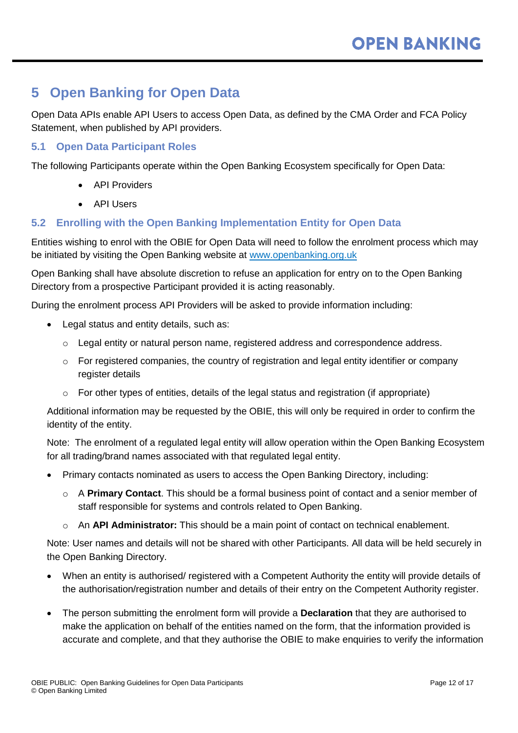# <span id="page-11-0"></span>**5 Open Banking for Open Data**

Open Data APIs enable API Users to access Open Data, as defined by the CMA Order and FCA Policy Statement, when published by API providers.

#### <span id="page-11-1"></span>**5.1 Open Data Participant Roles**

The following Participants operate within the Open Banking Ecosystem specifically for Open Data:

- API Providers
- API Users

#### <span id="page-11-2"></span>**5.2 Enrolling with the Open Banking Implementation Entity for Open Data**

Entities wishing to enrol with the OBIE for Open Data will need to follow the enrolment process which may be initiated by visiting the Open Banking website at [www.openbanking.org.uk](http://www.openbanking.org.uk/)

Open Banking shall have absolute discretion to refuse an application for entry on to the Open Banking Directory from a prospective Participant provided it is acting reasonably.

During the enrolment process API Providers will be asked to provide information including:

- Legal status and entity details, such as:
	- $\circ$  Legal entity or natural person name, registered address and correspondence address.
	- o For registered companies, the country of registration and legal entity identifier or company register details
	- $\circ$  For other types of entities, details of the legal status and registration (if appropriate)

Additional information may be requested by the OBIE, this will only be required in order to confirm the identity of the entity.

Note: The enrolment of a regulated legal entity will allow operation within the Open Banking Ecosystem for all trading/brand names associated with that regulated legal entity.

- Primary contacts nominated as users to access the Open Banking Directory, including:
	- o A **Primary Contact**. This should be a formal business point of contact and a senior member of staff responsible for systems and controls related to Open Banking.
	- o An **API Administrator:** This should be a main point of contact on technical enablement.

Note: User names and details will not be shared with other Participants. All data will be held securely in the Open Banking Directory.

- When an entity is authorised/ registered with a Competent Authority the entity will provide details of the authorisation/registration number and details of their entry on the Competent Authority register.
- The person submitting the enrolment form will provide a **Declaration** that they are authorised to make the application on behalf of the entities named on the form, that the information provided is accurate and complete, and that they authorise the OBIE to make enquiries to verify the information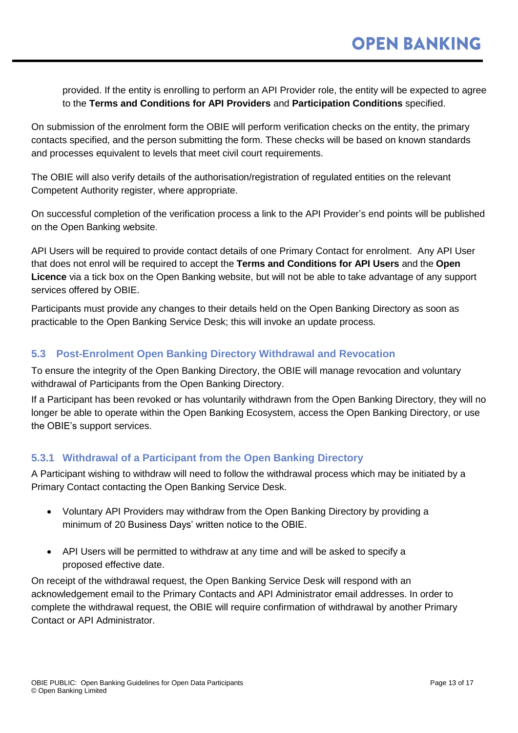provided. If the entity is enrolling to perform an API Provider role, the entity will be expected to agree to the **Terms and Conditions for API Providers** and **Participation Conditions** specified.

On submission of the enrolment form the OBIE will perform verification checks on the entity, the primary contacts specified, and the person submitting the form. These checks will be based on known standards and processes equivalent to levels that meet civil court requirements.

The OBIE will also verify details of the authorisation/registration of regulated entities on the relevant Competent Authority register, where appropriate.

On successful completion of the verification process a link to the API Provider's end points will be published on the Open Banking website.

API Users will be required to provide contact details of one Primary Contact for enrolment. Any API User that does not enrol will be required to accept the **Terms and Conditions for API Users** and the **Open Licence** via a tick box on the Open Banking website, but will not be able to take advantage of any support services offered by OBIE.

Participants must provide any changes to their details held on the Open Banking Directory as soon as practicable to the Open Banking Service Desk; this will invoke an update process.

### <span id="page-12-0"></span>**5.3 Post-Enrolment Open Banking Directory Withdrawal and Revocation**

To ensure the integrity of the Open Banking Directory, the OBIE will manage revocation and voluntary withdrawal of Participants from the Open Banking Directory.

If a Participant has been revoked or has voluntarily withdrawn from the Open Banking Directory, they will no longer be able to operate within the Open Banking Ecosystem, access the Open Banking Directory, or use the OBIE's support services.

#### **5.3.1 Withdrawal of a Participant from the Open Banking Directory**

A Participant wishing to withdraw will need to follow the withdrawal process which may be initiated by a Primary Contact [contacting](http://contacting/) the Open Banking Service Desk.

- Voluntary API Providers may withdraw from the Open Banking Directory by providing a minimum of 20 Business Days' written notice to the OBIE.
- API Users will be permitted to withdraw at any time and will be asked to specify a proposed effective date.

On receipt of the withdrawal request, the Open Banking Service Desk will respond with an acknowledgement email to the Primary Contacts and API Administrator email addresses. In order to complete the withdrawal request, the OBIE will require confirmation of withdrawal by another Primary Contact or API Administrator.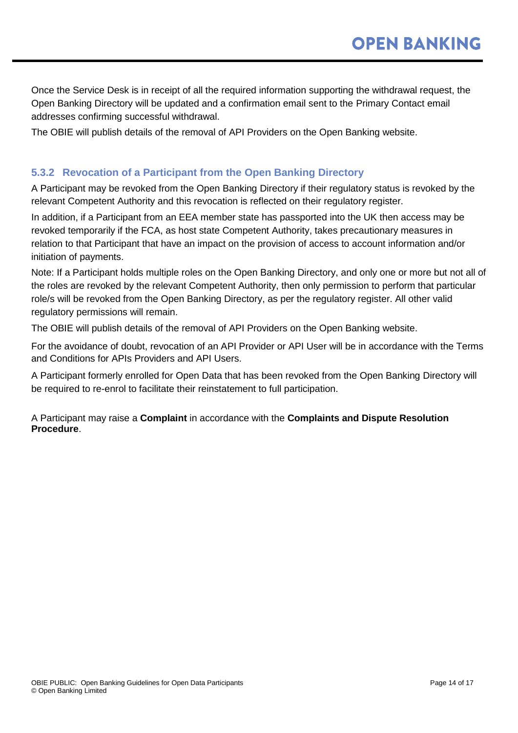Once the Service Desk is in receipt of all the required information supporting the withdrawal request, the Open Banking Directory will be updated and a confirmation email sent to the Primary Contact email addresses confirming successful withdrawal.

The OBIE will publish details of the removal of API Providers on the Open Banking website.

#### **5.3.2 Revocation of a Participant from the Open Banking Directory**

A Participant may be revoked from the Open Banking Directory if their regulatory status is revoked by the relevant Competent Authority and this revocation is reflected on their regulatory register.

In addition, if a Participant from an EEA member state has passported into the UK then access may be revoked temporarily if the FCA, as host state Competent Authority, takes precautionary measures in relation to that Participant that have an impact on the provision of access to account information and/or initiation of payments.

Note: If a Participant holds multiple roles on the Open Banking Directory, and only one or more but not all of the roles are revoked by the relevant Competent Authority, then only permission to perform that particular role/s will be revoked from the Open Banking Directory, as per the regulatory register. All other valid regulatory permissions will remain.

The OBIE will publish details of the removal of API Providers on the Open Banking website.

For the avoidance of doubt, revocation of an API Provider or API User will be in accordance with the Terms and Conditions for APIs Providers and API Users.

A Participant formerly enrolled for Open Data that has been revoked from the Open Banking Directory will be required to re-enrol to facilitate their reinstatement to full participation.

A Participant may raise a **Complaint** in accordance with the **Complaints and Dispute Resolution Procedure**.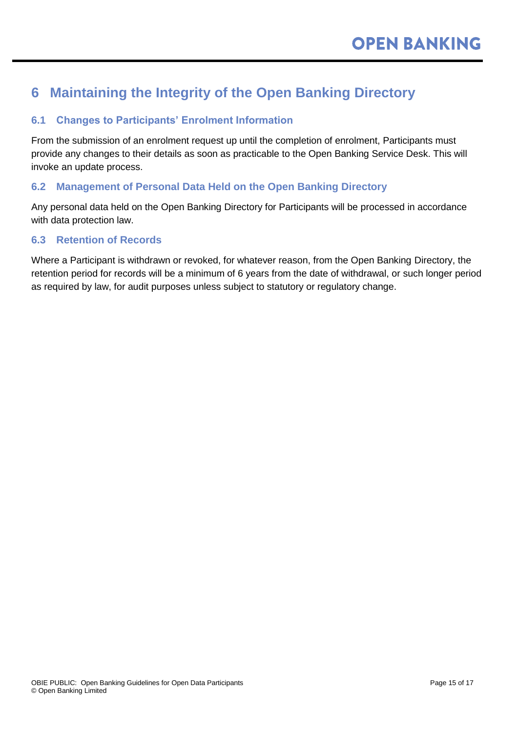# <span id="page-14-0"></span>**6 Maintaining the Integrity of the Open Banking Directory**

### <span id="page-14-1"></span>**6.1 Changes to Participants' Enrolment Information**

From the submission of an enrolment request up until the completion of enrolment, Participants must provide any changes to their details as soon as practicable to the Open Banking Service Desk. This will invoke an update process.

### <span id="page-14-2"></span>**6.2 Management of Personal Data Held on the Open Banking Directory**

Any personal data held on the Open Banking Directory for Participants will be processed in accordance with data protection law.

#### <span id="page-14-3"></span>**6.3 Retention of Records**

Where a Participant is withdrawn or revoked, for whatever reason, from the Open Banking Directory, the retention period for records will be a minimum of 6 years from the date of withdrawal, or such longer period as required by law, for audit purposes unless subject to statutory or regulatory change.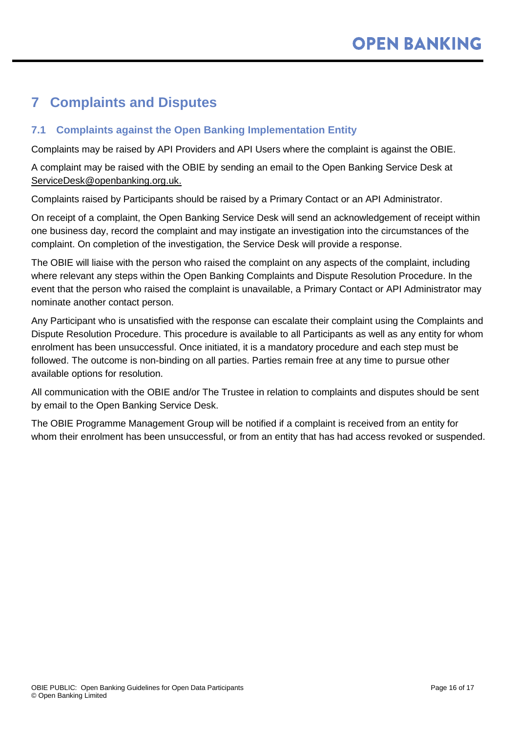# <span id="page-15-0"></span>**7 Complaints and Disputes**

### <span id="page-15-1"></span>**7.1 Complaints against the Open Banking Implementation Entity**

Complaints may be raised by API Providers and API Users where the complaint is against the OBIE.

A complaint may be raised with the OBIE by sending an email to the Open Banking Service Desk at [ServiceDesk@openbanking.org.uk.](mailto:ServiceDesk@openbanking.org.uk)

Complaints raised by Participants should be raised by a Primary Contact or an API Administrator.

On receipt of a complaint, the Open Banking Service Desk will send an acknowledgement of receipt within one business day, record the complaint and may instigate an investigation into the circumstances of the complaint. On completion of the investigation, the Service Desk will provide a response.

The OBIE will liaise with the person who raised the complaint on any aspects of the complaint, including where relevant any steps within the Open Banking Complaints and Dispute Resolution Procedure. In the event that the person who raised the complaint is unavailable, a Primary Contact or API Administrator may nominate another contact person.

Any Participant who is unsatisfied with the response can escalate their complaint using the Complaints and Dispute Resolution Procedure. This procedure is available to all Participants as well as any entity for whom enrolment has been unsuccessful. Once initiated, it is a mandatory procedure and each step must be followed. The outcome is non-binding on all parties. Parties remain free at any time to pursue other available options for resolution.

All communication with the OBIE and/or The Trustee in relation to complaints and disputes should be sent by email to the Open Banking Service Desk.

The OBIE Programme Management Group will be notified if a complaint is received from an entity for whom their enrolment has been unsuccessful, or from an entity that has had access revoked or suspended.